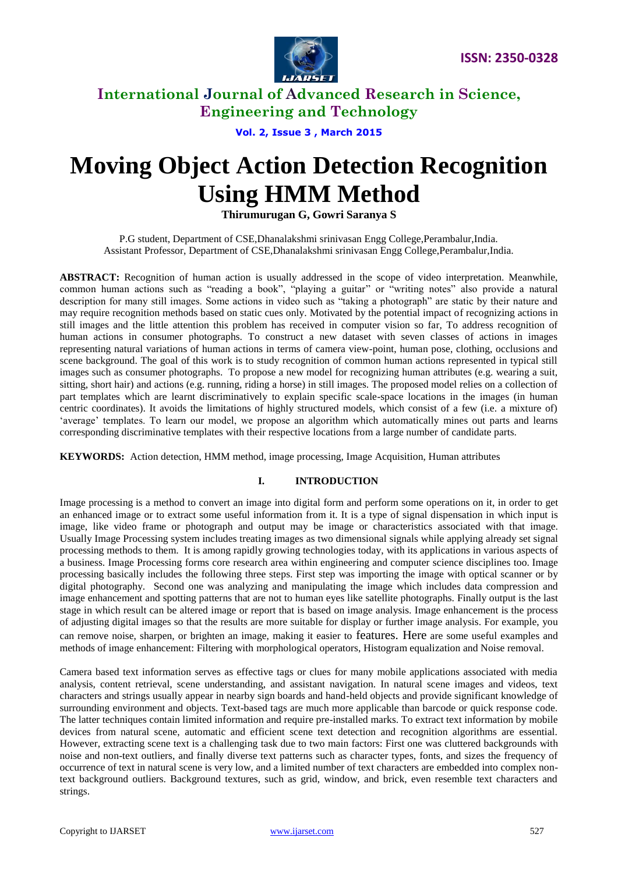

### **Vol. 2, Issue 3 , March 2015**

# **Moving Object Action Detection Recognition Using HMM Method**

### **Thirumurugan G, Gowri Saranya S**

P.G student, Department of CSE,Dhanalakshmi srinivasan Engg College,Perambalur,India. Assistant Professor, Department of CSE,Dhanalakshmi srinivasan Engg College,Perambalur,India.

**ABSTRACT:** Recognition of human action is usually addressed in the scope of video interpretation. Meanwhile, common human actions such as "reading a book", "playing a guitar" or "writing notes" also provide a natural description for many still images. Some actions in video such as "taking a photograph" are static by their nature and may require recognition methods based on static cues only. Motivated by the potential impact of recognizing actions in still images and the little attention this problem has received in computer vision so far, To address recognition of human actions in consumer photographs. To construct a new dataset with seven classes of actions in images representing natural variations of human actions in terms of camera view-point, human pose, clothing, occlusions and scene background. The goal of this work is to study recognition of common human actions represented in typical still images such as consumer photographs. To propose a new model for recognizing human attributes (e.g. wearing a suit, sitting, short hair) and actions (e.g. running, riding a horse) in still images. The proposed model relies on a collection of part templates which are learnt discriminatively to explain specific scale-space locations in the images (in human centric coordinates). It avoids the limitations of highly structured models, which consist of a few (i.e. a mixture of) "average" templates. To learn our model, we propose an algorithm which automatically mines out parts and learns corresponding discriminative templates with their respective locations from a large number of candidate parts.

**KEYWORDS:** Action detection, HMM method, image processing, Image Acquisition, Human attributes

#### **I. INTRODUCTION**

Image processing is a method to convert an image into digital form and perform some operations on it, in order to get an enhanced image or to extract some useful information from it. It is a type of signal dispensation in which input is image, like video frame or photograph and output may be image or characteristics associated with that image. Usually Image Processing system includes treating images as two dimensional signals while applying already set signal processing methods to them. It is among rapidly growing technologies today, with its applications in various aspects of a business. Image Processing forms core research area within engineering and computer science disciplines too. Image processing basically includes the following three steps. First step was importing the image with optical scanner or by digital photography. Second one was analyzing and manipulating the image which includes data compression and image enhancement and spotting patterns that are not to human eyes like satellite photographs. Finally output is the last stage in which result can be altered image or report that is based on image analysis. Image enhancement is the process of adjusting digital images so that the results are more suitable for display or further [image analysis.](http://www.mathworks.in/discovery/image-analysis.html) For example, you can remove noise, sharpen, or brighten an image, making it easier to features. Here are some useful examples and methods of image enhancement: Filtering with [morphological operators,](http://www.mathworks.in/help/images/examples/correcting-nonuniform-illumination.html) [Histogram equalization](http://www.mathworks.in/help/images/examples/contrast-enhancement-techniques.html) and Noise removal.

Camera based text information serves as effective tags or clues for many mobile applications associated with media analysis, content retrieval, scene understanding, and assistant navigation. In natural scene images and videos, text characters and strings usually appear in nearby sign boards and hand-held objects and provide significant knowledge of surrounding environment and objects. Text-based tags are much more applicable than barcode or quick response code. The latter techniques contain limited information and require pre-installed marks. To extract text information by mobile devices from natural scene, automatic and efficient scene text detection and recognition algorithms are essential. However, extracting scene text is a challenging task due to two main factors: First one was cluttered backgrounds with noise and non-text outliers, and finally diverse text patterns such as character types, fonts, and sizes the frequency of occurrence of text in natural scene is very low, and a limited number of text characters are embedded into complex nontext background outliers. Background textures, such as grid, window, and brick, even resemble text characters and strings.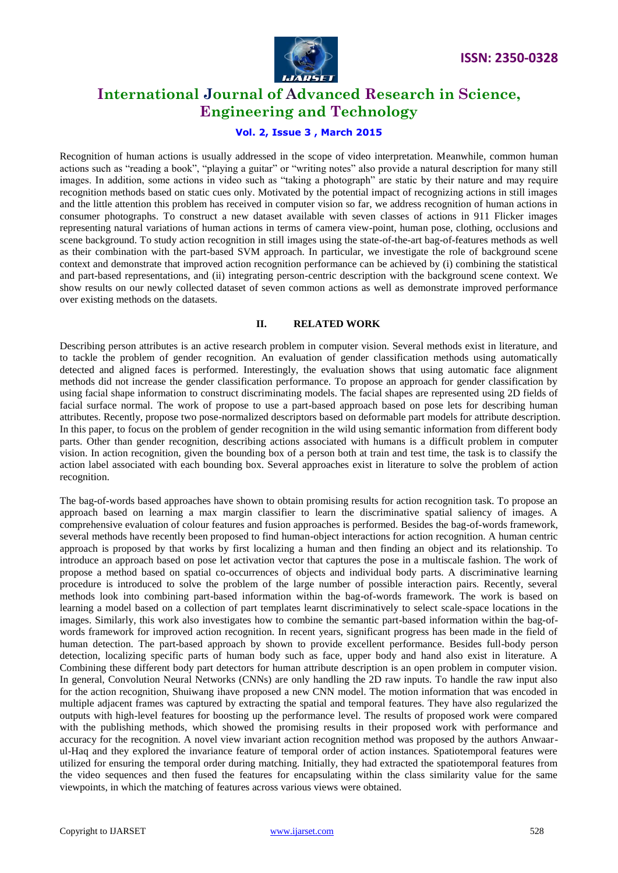

### **Vol. 2, Issue 3 , March 2015**

Recognition of human actions is usually addressed in the scope of video interpretation. Meanwhile, common human actions such as "reading a book", "playing a guitar" or "writing notes" also provide a natural description for many still images. In addition, some actions in video such as "taking a photograph" are static by their nature and may require recognition methods based on static cues only. Motivated by the potential impact of recognizing actions in still images and the little attention this problem has received in computer vision so far, we address recognition of human actions in consumer photographs. To construct a new dataset available with seven classes of actions in 911 Flicker images representing natural variations of human actions in terms of camera view-point, human pose, clothing, occlusions and scene background. To study action recognition in still images using the state-of-the-art bag-of-features methods as well as their combination with the part-based SVM approach. In particular, we investigate the role of background scene context and demonstrate that improved action recognition performance can be achieved by (i) combining the statistical and part-based representations, and (ii) integrating person-centric description with the background scene context. We show results on our newly collected dataset of seven common actions as well as demonstrate improved performance over existing methods on the datasets.

#### **II. RELATED WORK**

Describing person attributes is an active research problem in computer vision. Several methods exist in literature, and to tackle the problem of gender recognition. An evaluation of gender classification methods using automatically detected and aligned faces is performed. Interestingly, the evaluation shows that using automatic face alignment methods did not increase the gender classification performance. To propose an approach for gender classification by using facial shape information to construct discriminating models. The facial shapes are represented using 2D fields of facial surface normal. The work of propose to use a part-based approach based on pose lets for describing human attributes. Recently, propose two pose-normalized descriptors based on deformable part models for attribute description. In this paper, to focus on the problem of gender recognition in the wild using semantic information from different body parts. Other than gender recognition, describing actions associated with humans is a difficult problem in computer vision. In action recognition, given the bounding box of a person both at train and test time, the task is to classify the action label associated with each bounding box. Several approaches exist in literature to solve the problem of action recognition.

The bag-of-words based approaches have shown to obtain promising results for action recognition task. To propose an approach based on learning a max margin classifier to learn the discriminative spatial saliency of images. A comprehensive evaluation of colour features and fusion approaches is performed. Besides the bag-of-words framework, several methods have recently been proposed to find human-object interactions for action recognition. A human centric approach is proposed by that works by first localizing a human and then finding an object and its relationship. To introduce an approach based on pose let activation vector that captures the pose in a multiscale fashion. The work of propose a method based on spatial co-occurrences of objects and individual body parts. A discriminative learning procedure is introduced to solve the problem of the large number of possible interaction pairs. Recently, several methods look into combining part-based information within the bag-of-words framework. The work is based on learning a model based on a collection of part templates learnt discriminatively to select scale-space locations in the images. Similarly, this work also investigates how to combine the semantic part-based information within the bag-ofwords framework for improved action recognition. In recent years, significant progress has been made in the field of human detection. The part-based approach by shown to provide excellent performance. Besides full-body person detection, localizing specific parts of human body such as face, upper body and hand also exist in literature. A Combining these different body part detectors for human attribute description is an open problem in computer vision. In general, Convolution Neural Networks (CNNs) are only handling the 2D raw inputs. To handle the raw input also for the action recognition, Shuiwang ihave proposed a new CNN model. The motion information that was encoded in multiple adjacent frames was captured by extracting the spatial and temporal features. They have also regularized the outputs with high-level features for boosting up the performance level. The results of proposed work were compared with the publishing methods, which showed the promising results in their proposed work with performance and accuracy for the recognition. A novel view invariant action recognition method was proposed by the authors Anwaarul-Haq and they explored the invariance feature of temporal order of action instances. Spatiotemporal features were utilized for ensuring the temporal order during matching. Initially, they had extracted the spatiotemporal features from the video sequences and then fused the features for encapsulating within the class similarity value for the same viewpoints, in which the matching of features across various views were obtained.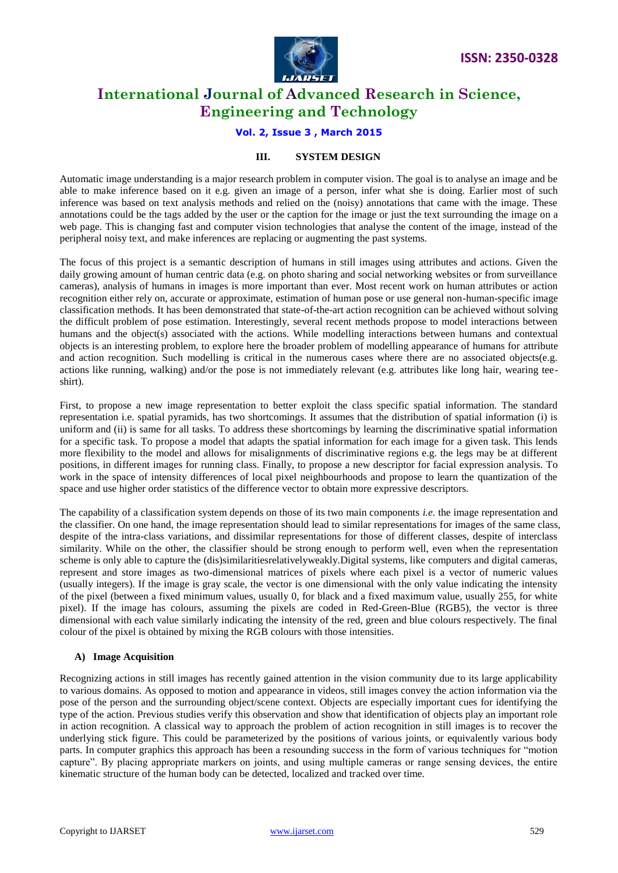

### **Vol. 2, Issue 3 , March 2015**

#### **III. SYSTEM DESIGN**

Automatic image understanding is a major research problem in computer vision. The goal is to analyse an image and be able to make inference based on it e.g. given an image of a person, infer what she is doing. Earlier most of such inference was based on text analysis methods and relied on the (noisy) annotations that came with the image. These annotations could be the tags added by the user or the caption for the image or just the text surrounding the image on a web page. This is changing fast and computer vision technologies that analyse the content of the image, instead of the peripheral noisy text, and make inferences are replacing or augmenting the past systems.

The focus of this project is a semantic description of humans in still images using attributes and actions. Given the daily growing amount of human centric data (e.g. on photo sharing and social networking websites or from surveillance cameras), analysis of humans in images is more important than ever. Most recent work on human attributes or action recognition either rely on, accurate or approximate, estimation of human pose or use general non-human-specific image classification methods. It has been demonstrated that state-of-the-art action recognition can be achieved without solving the difficult problem of pose estimation. Interestingly, several recent methods propose to model interactions between humans and the object(s) associated with the actions. While modelling interactions between humans and contextual objects is an interesting problem, to explore here the broader problem of modelling appearance of humans for attribute and action recognition. Such modelling is critical in the numerous cases where there are no associated objects(e.g. actions like running, walking) and/or the pose is not immediately relevant (e.g. attributes like long hair, wearing teeshirt).

First, to propose a new image representation to better exploit the class specific spatial information. The standard representation i.e. spatial pyramids, has two shortcomings. It assumes that the distribution of spatial information (i) is uniform and (ii) is same for all tasks. To address these shortcomings by learning the discriminative spatial information for a specific task. To propose a model that adapts the spatial information for each image for a given task. This lends more flexibility to the model and allows for misalignments of discriminative regions e.g. the legs may be at different positions, in different images for running class. Finally, to propose a new descriptor for facial expression analysis. To work in the space of intensity differences of local pixel neighbourhoods and propose to learn the quantization of the space and use higher order statistics of the difference vector to obtain more expressive descriptors.

The capability of a classification system depends on those of its two main components *i.e.* the image representation and the classifier. On one hand, the image representation should lead to similar representations for images of the same class, despite of the intra-class variations, and dissimilar representations for those of different classes, despite of interclass similarity. While on the other, the classifier should be strong enough to perform well, even when the representation scheme is only able to capture the (dis)similaritiesrelativelyweakly.Digital systems, like computers and digital cameras, represent and store images as two-dimensional matrices of pixels where each pixel is a vector of numeric values (usually integers). If the image is gray scale, the vector is one dimensional with the only value indicating the intensity of the pixel (between a fixed minimum values, usually 0, for black and a fixed maximum value, usually 255, for white pixel). If the image has colours, assuming the pixels are coded in Red-Green-Blue (RGB5), the vector is three dimensional with each value similarly indicating the intensity of the red, green and blue colours respectively. The final colour of the pixel is obtained by mixing the RGB colours with those intensities.

#### **A) Image Acquisition**

Recognizing actions in still images has recently gained attention in the vision community due to its large applicability to various domains. As opposed to motion and appearance in videos, still images convey the action information via the pose of the person and the surrounding object/scene context. Objects are especially important cues for identifying the type of the action. Previous studies verify this observation and show that identification of objects play an important role in action recognition. A classical way to approach the problem of action recognition in still images is to recover the underlying stick figure. This could be parameterized by the positions of various joints, or equivalently various body parts. In computer graphics this approach has been a resounding success in the form of various techniques for "motion capture". By placing appropriate markers on joints, and using multiple cameras or range sensing devices, the entire kinematic structure of the human body can be detected, localized and tracked over time.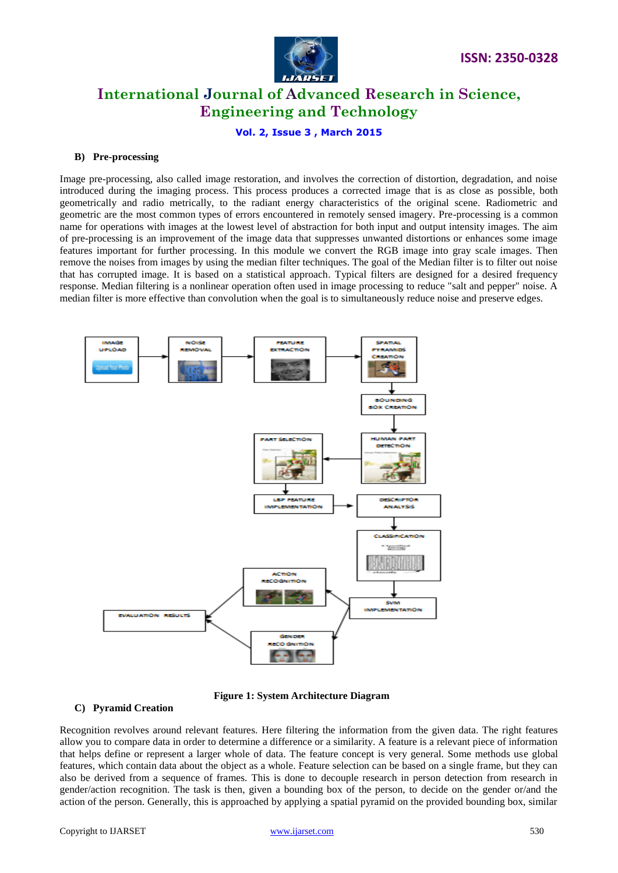

#### **Vol. 2, Issue 3 , March 2015**

#### **B) Pre-processing**

Image pre-processing, also called image restoration, and involves the correction of distortion, degradation, and noise introduced during the imaging process. This process produces a corrected image that is as close as possible, both geometrically and radio metrically, to the radiant energy characteristics of the original scene. Radiometric and geometric are the most common types of errors encountered in remotely sensed imagery. Pre-processing is a common name for operations with images at the lowest level of abstraction for both input and output intensity images. The aim of pre-processing is an improvement of the image data that suppresses unwanted distortions or enhances some image features important for further processing. In this module we convert the RGB image into gray scale images. Then remove the noises from images by using the median filter techniques. The goal of the Median filter is to filter out noise that has corrupted image. It is based on a statistical approach. Typical filters are designed for a desired frequency response. Median filtering is a nonlinear operation often used in image processing to reduce "salt and pepper" noise. A median filter is more effective than convolution when the goal is to simultaneously reduce noise and preserve edges.



**Figure 1: System Architecture Diagram**

#### **C) Pyramid Creation**

Recognition revolves around relevant features. Here filtering the information from the given data. The right features allow you to compare data in order to determine a difference or a similarity. A feature is a relevant piece of information that helps define or represent a larger whole of data. The feature concept is very general. Some methods use global features, which contain data about the object as a whole. Feature selection can be based on a single frame, but they can also be derived from a sequence of frames. This is done to decouple research in person detection from research in gender/action recognition. The task is then, given a bounding box of the person, to decide on the gender or/and the action of the person. Generally, this is approached by applying a spatial pyramid on the provided bounding box, similar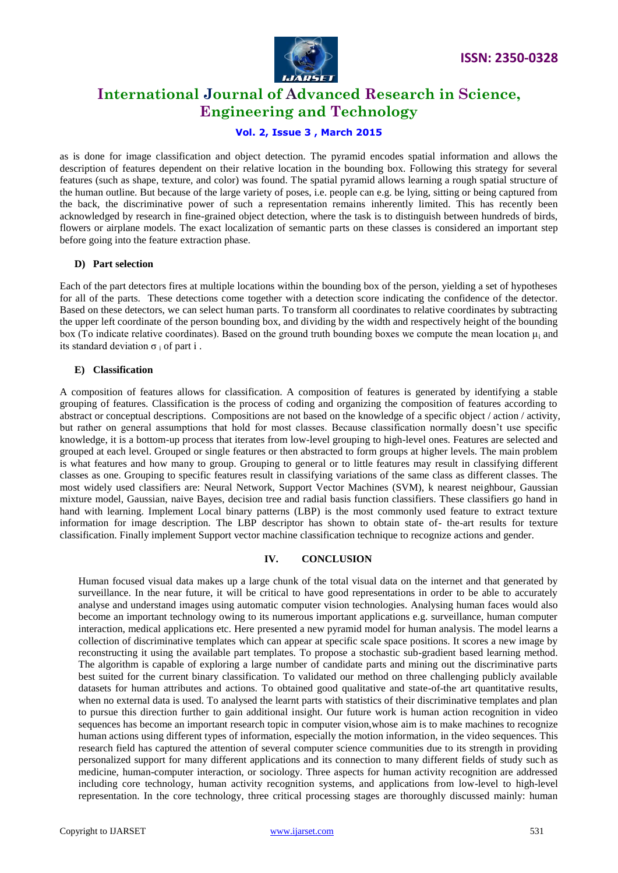

### **Vol. 2, Issue 3 , March 2015**

as is done for image classification and object detection. The pyramid encodes spatial information and allows the description of features dependent on their relative location in the bounding box. Following this strategy for several features (such as shape, texture, and color) was found. The spatial pyramid allows learning a rough spatial structure of the human outline. But because of the large variety of poses, i.e. people can e.g. be lying, sitting or being captured from the back, the discriminative power of such a representation remains inherently limited. This has recently been acknowledged by research in fine-grained object detection, where the task is to distinguish between hundreds of birds, flowers or airplane models. The exact localization of semantic parts on these classes is considered an important step before going into the feature extraction phase.

#### **D) Part selection**

Each of the part detectors fires at multiple locations within the bounding box of the person, yielding a set of hypotheses for all of the parts. These detections come together with a detection score indicating the confidence of the detector. Based on these detectors, we can select human parts. To transform all coordinates to relative coordinates by subtracting the upper left coordinate of the person bounding box, and dividing by the width and respectively height of the bounding box (To indicate relative coordinates). Based on the ground truth bounding boxes we compute the mean location μ<sup>i</sup> and its standard deviation  $\sigma_i$  of part i.

#### **E) Classification**

A composition of features allows for classification. A composition of features is generated by identifying a stable grouping of features. Classification is the process of coding and organizing the composition of features according to abstract or conceptual descriptions. Compositions are not based on the knowledge of a specific object / action / activity, but rather on general assumptions that hold for most classes. Because classification normally doesn"t use specific knowledge, it is a bottom-up process that iterates from low-level grouping to high-level ones. Features are selected and grouped at each level. Grouped or single features or then abstracted to form groups at higher levels. The main problem is what features and how many to group. Grouping to general or to little features may result in classifying different classes as one. Grouping to specific features result in classifying variations of the same class as different classes. The most widely used classifiers are: Neural Network, Support Vector Machines (SVM), k nearest neighbour, Gaussian mixture model, Gaussian, naive Bayes, decision tree and radial basis function classifiers. These classifiers go hand in hand with learning. Implement Local binary patterns (LBP) is the most commonly used feature to extract texture information for image description. The LBP descriptor has shown to obtain state of- the-art results for texture classification. Finally implement Support vector machine classification technique to recognize actions and gender.

#### **IV. CONCLUSION**

Human focused visual data makes up a large chunk of the total visual data on the internet and that generated by surveillance. In the near future, it will be critical to have good representations in order to be able to accurately analyse and understand images using automatic computer vision technologies. Analysing human faces would also become an important technology owing to its numerous important applications e.g. surveillance, human computer interaction, medical applications etc. Here presented a new pyramid model for human analysis. The model learns a collection of discriminative templates which can appear at specific scale space positions. It scores a new image by reconstructing it using the available part templates. To propose a stochastic sub-gradient based learning method. The algorithm is capable of exploring a large number of candidate parts and mining out the discriminative parts best suited for the current binary classification. To validated our method on three challenging publicly available datasets for human attributes and actions. To obtained good qualitative and state-of-the art quantitative results, when no external data is used. To analysed the learnt parts with statistics of their discriminative templates and plan to pursue this direction further to gain additional insight. Our future work is human action recognition in video sequences has become an important research topic in computer vision,whose aim is to make machines to recognize human actions using different types of information, especially the motion information, in the video sequences. This research field has captured the attention of several computer science communities due to its strength in providing personalized support for many different applications and its connection to many different fields of study such as medicine, human-computer interaction, or sociology. Three aspects for human activity recognition are addressed including core technology, human activity recognition systems, and applications from low-level to high-level representation. In the core technology, three critical processing stages are thoroughly discussed mainly: human